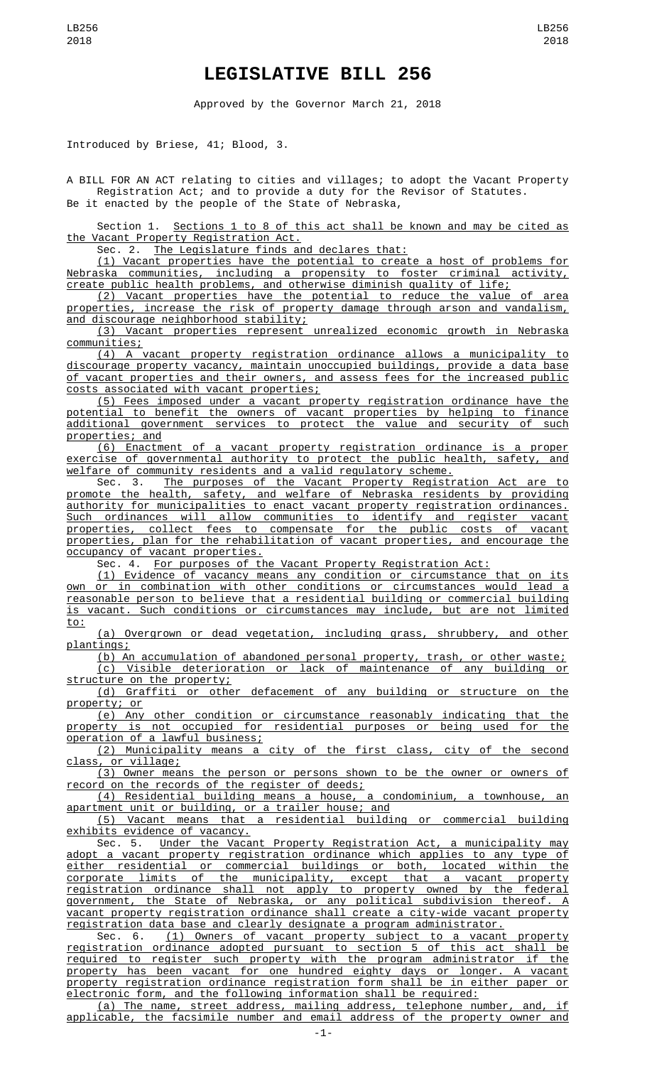## **LEGISLATIVE BILL 256**

Approved by the Governor March 21, 2018

Introduced by Briese, 41; Blood, 3.

A BILL FOR AN ACT relating to cities and villages; to adopt the Vacant Property Registration Act; and to provide a duty for the Revisor of Statutes. Be it enacted by the people of the State of Nebraska,

Section 1. Sections 1 to 8 of this act shall be known and may be cited as the Vacant Property Registration Act.<br>Sec. 2. The Legislature finds an

The Legislature finds and declares that:

(1) Vacant properties have the potential to create a host of problems for Nebraska communities, including a propensity to foster criminal activity, create public health problems, and otherwise diminish quality of life;

(2) Vacant properties have the potential to reduce the value of area properties, increase the risk of property damage through arson and vandalism, and discourage neighborhood stability;

(3) Vacant properties represent unrealized economic growth in Nebraska communities;

(4) A vacant property registration ordinance allows a municipality to discourage property vacancy, maintain unoccupied buildings, provide a data base of vacant properties and their owners, and assess fees for the increased public costs associated with vacant properties;

(5) Fees imposed under a vacant property registration ordinance have the potential to benefit the owners of vacant properties by helping to finance additional government services to protect the value and security of such properties; and

(6) Enactment of a vacant property registration ordinance is a proper exercise of governmental authority to protect the public health, safety, and welfare of community residents and a valid regulatory scheme.

Sec. 3. The purposes of the Vacant Property Registration Act are to promote the health, safety, and welfare of Nebraska residents by providing authority for municipalities to enact vacant property registration ordinances. Such ordinances will allow communities to identify and register vacant properties, collect fees to compensate for the public costs of vacant properties, plan for the rehabilitation of vacant properties, and encourage the occupancy of vacant properties.

Sec. 4. For purposes of the Vacant Property Registration Act:

(1) Evidence of vacancy means any condition or circumstance that on its own or in combination with other conditions or circumstances would lead a reasonable person to believe that a residential building or commercial building is vacant. Such conditions or circumstances may include, but are not limited to:

(a) Overgrown or dead vegetation, including grass, shrubbery, and other plantings;

(b) An accumulation of abandoned personal property, trash, or other waste;

(c) Visible deterioration or lack of maintenance of any building or structure on the property;

(d) Graffiti or other defacement of any building or structure on the property; or

(e) Any other condition or circumstance reasonably indicating that the property is not occupied for residential purposes or being used for the operation of a lawful business;

(2) Municipality means a city of the first class, city of the second class, or village;

(3) Owner means the person or persons shown to be the owner or owners of record on the records of the register of deeds;

(4) Residential building means a house, a condominium, a townhouse, an apartment unit or building, or a trailer house; and

(5) Vacant means that a residential building or commercial building exhibits evidence of vacancy.

Sec. 5. Under the Vacant Property Registration Act, a municipality may adopt a vacant property registration ordinance which applies to any type of either residential or commercial buildings or both, located within the corporate limits of the municipality, except that a vacant property registration ordinance shall not apply to property owned by the federal government, the State of Nebraska, or any political subdivision thereof. A vacant property registration ordinance shall create a city-wide vacant property registration data base and clearly designate a program administrator.

Sec. 6. (1) Owners of vacant property subject to a vacant registration ordinance adopted pursuant to section 5 of this act shall be required to register such property with the program administrator if the property has been vacant for one hundred eighty days or longer. A vacant property registration ordinance registration form shall be in either paper or electronic form, and the following information shall be required:

(a) The name, street address, mailing address, telephone number, and, if applicable, the facsimile number and email address of the property owner and